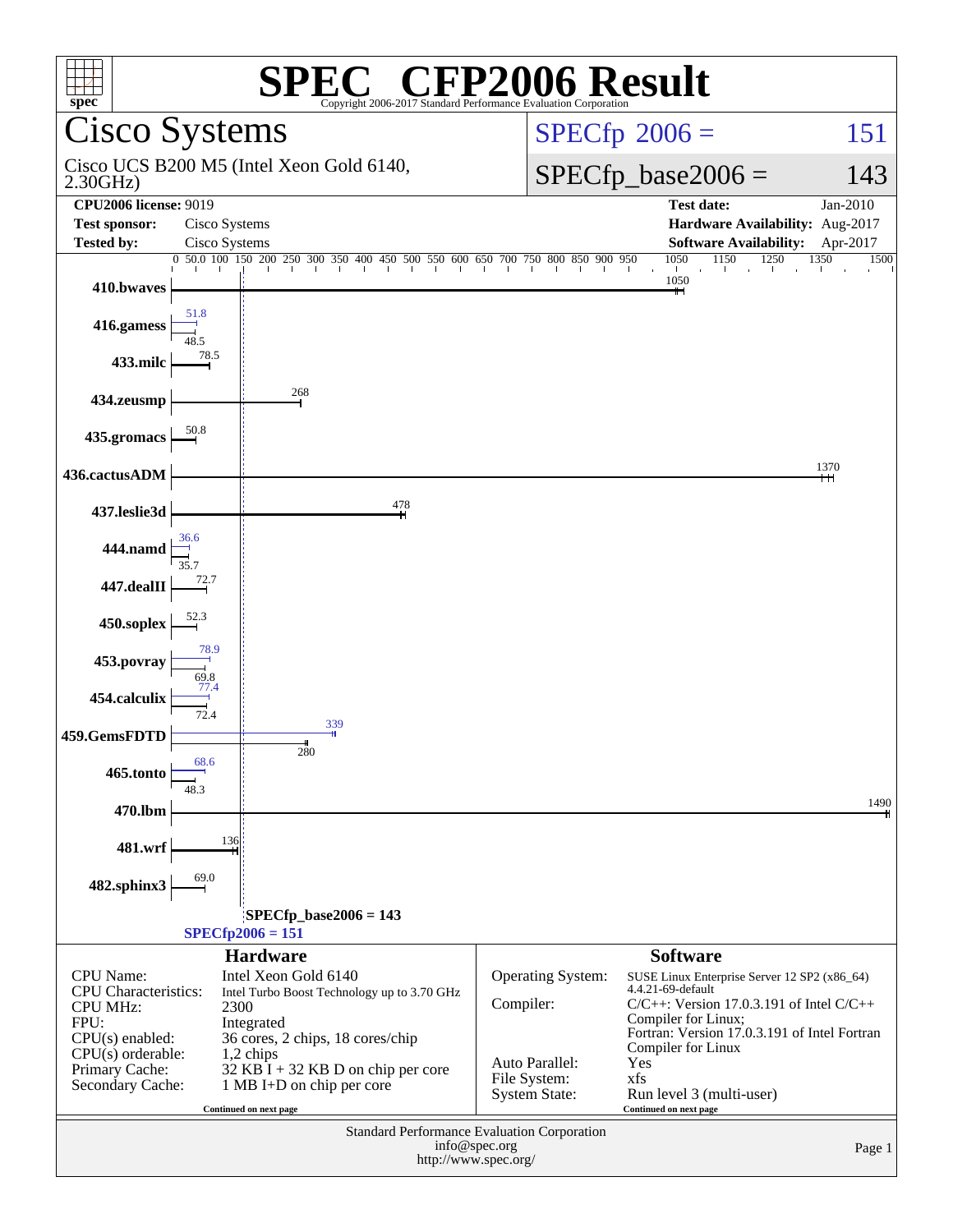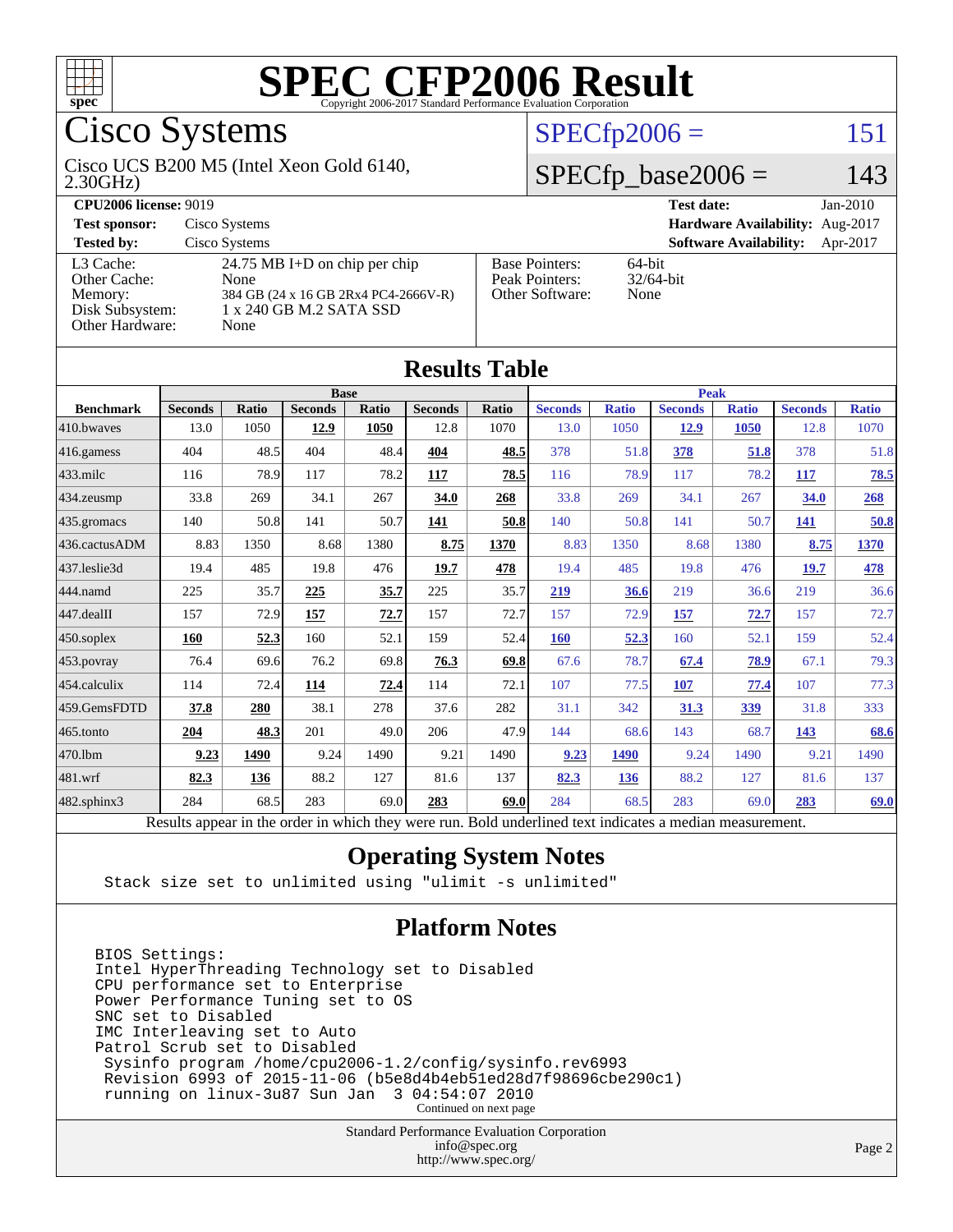

# Cisco Systems

#### 2.30GHz) Cisco UCS B200 M5 (Intel Xeon Gold 6140,

### $SPECfp2006 = 151$  $SPECfp2006 = 151$

### $SPECfp\_base2006 = 143$

| <b>CPU2006 license: 9019</b>                                               |                                                                                                                  |                                                            | <b>Test date:</b><br>$Jan-2010$           |  |  |
|----------------------------------------------------------------------------|------------------------------------------------------------------------------------------------------------------|------------------------------------------------------------|-------------------------------------------|--|--|
| <b>Test sponsor:</b>                                                       | Cisco Systems                                                                                                    | Hardware Availability: Aug-2017                            |                                           |  |  |
| <b>Tested by:</b>                                                          | Cisco Systems                                                                                                    |                                                            | <b>Software Availability:</b><br>Apr-2017 |  |  |
| L3 Cache:<br>Other Cache:<br>Memory:<br>Disk Subsystem:<br>Other Hardware: | 24.75 MB I+D on chip per chip<br>None<br>384 GB (24 x 16 GB 2Rx4 PC4-2666V-R)<br>1 x 240 GB M.2 SATA SSD<br>None | <b>Base Pointers:</b><br>Peak Pointers:<br>Other Software: | 64-bit<br>$32/64$ -bit<br>None            |  |  |

**[Results Table](http://www.spec.org/auto/cpu2006/Docs/result-fields.html#ResultsTable)**

|                  |                                                                                                          |              |                |       | Results Tadie  |       |                |              |                |              |                |              |
|------------------|----------------------------------------------------------------------------------------------------------|--------------|----------------|-------|----------------|-------|----------------|--------------|----------------|--------------|----------------|--------------|
|                  | <b>Base</b>                                                                                              |              |                |       |                |       | <b>Peak</b>    |              |                |              |                |              |
| <b>Benchmark</b> | <b>Seconds</b>                                                                                           | <b>Ratio</b> | <b>Seconds</b> | Ratio | <b>Seconds</b> | Ratio | <b>Seconds</b> | <b>Ratio</b> | <b>Seconds</b> | <b>Ratio</b> | <b>Seconds</b> | <b>Ratio</b> |
| 410.bwaves       | 13.0                                                                                                     | 1050         | 12.9           | 1050  | 12.8           | 1070  | 13.0           | 1050         | 12.9           | 1050         | 12.8           | 1070         |
| 416.gamess       | 404                                                                                                      | 48.5         | 404            | 48.4  | 404            | 48.5  | 378            | 51.8         | 378            | 51.8         | 378            | 51.8         |
| 433.milc         | 116                                                                                                      | 78.9         | 117            | 78.2  | 117            | 78.5  | 116            | 78.9         | 117            | 78.2         | 117            | 78.5         |
| 434.zeusmp       | 33.8                                                                                                     | 269          | 34.1           | 267   | 34.0           | 268   | 33.8           | 269          | 34.1           | 267          | 34.0           | 268          |
| 435.gromacs      | 140                                                                                                      | 50.8         | 141            | 50.7  | 141            | 50.8  | 140            | 50.8         | 141            | 50.7         | 141            | 50.8         |
| 436.cactusADM    | 8.83                                                                                                     | 1350         | 8.68           | 1380  | 8.75           | 1370  | 8.83           | 1350         | 8.68           | 1380         | 8.75           | 1370         |
| 437.leslie3d     | 19.4                                                                                                     | 485          | 19.8           | 476   | 19.7           | 478   | 19.4           | 485          | 19.8           | 476          | 19.7           | 478          |
| 444.namd         | 225                                                                                                      | 35.7         | 225            | 35.7  | 225            | 35.7  | 219            | 36.6         | 219            | 36.6         | 219            | 36.6         |
| 447.dealII       | 157                                                                                                      | 72.9         | 157            | 72.7  | 157            | 72.7  | 157            | 72.9         | 157            | 72.7         | 157            | 72.7         |
| 450.soplex       | 160                                                                                                      | 52.3         | 160            | 52.1  | 159            | 52.4  | 160            | 52.3         | 160            | 52.1         | 159            | 52.4         |
| 453.povray       | 76.4                                                                                                     | 69.6         | 76.2           | 69.8  | 76.3           | 69.8  | 67.6           | 78.7         | 67.4           | 78.9         | 67.1           | 79.3         |
| 454.calculix     | 114                                                                                                      | 72.4         | 114            | 72.4  | 114            | 72.1  | 107            | 77.5         | 107            | 77.4         | 107            | 77.3         |
| 459.GemsFDTD     | 37.8                                                                                                     | 280          | 38.1           | 278   | 37.6           | 282   | 31.1           | 342          | 31.3           | 339          | 31.8           | 333          |
| 465.tonto        | 204                                                                                                      | 48.3         | 201            | 49.0  | 206            | 47.9  | 144            | 68.6         | 143            | 68.7         | 143            | 68.6         |
| 470.1bm          | 9.23                                                                                                     | 1490         | 9.24           | 1490  | 9.21           | 1490  | 9.23           | 1490         | 9.24           | 1490         | 9.21           | 1490         |
| 481.wrf          | 82.3                                                                                                     | 136          | 88.2           | 127   | 81.6           | 137   | 82.3           | 136          | 88.2           | 127          | 81.6           | 137          |
| 482.sphinx3      | 284                                                                                                      | 68.5         | 283            | 69.0  | 283            | 69.0  | 284            | 68.5         | 283            | 69.0         | 283            | 69.0         |
|                  | Results appear in the order in which they were run. Bold underlined text indicates a median measurement. |              |                |       |                |       |                |              |                |              |                |              |

### **[Operating System Notes](http://www.spec.org/auto/cpu2006/Docs/result-fields.html#OperatingSystemNotes)**

Stack size set to unlimited using "ulimit -s unlimited"

### **[Platform Notes](http://www.spec.org/auto/cpu2006/Docs/result-fields.html#PlatformNotes)**

BIOS Settings: Intel HyperThreading Technology set to Disabled CPU performance set to Enterprise Power Performance Tuning set to OS SNC set to Disabled IMC Interleaving set to Auto Patrol Scrub set to Disabled Sysinfo program /home/cpu2006-1.2/config/sysinfo.rev6993 Revision 6993 of 2015-11-06 (b5e8d4b4eb51ed28d7f98696cbe290c1) running on linux-3u87 Sun Jan 3 04:54:07 2010 Continued on next page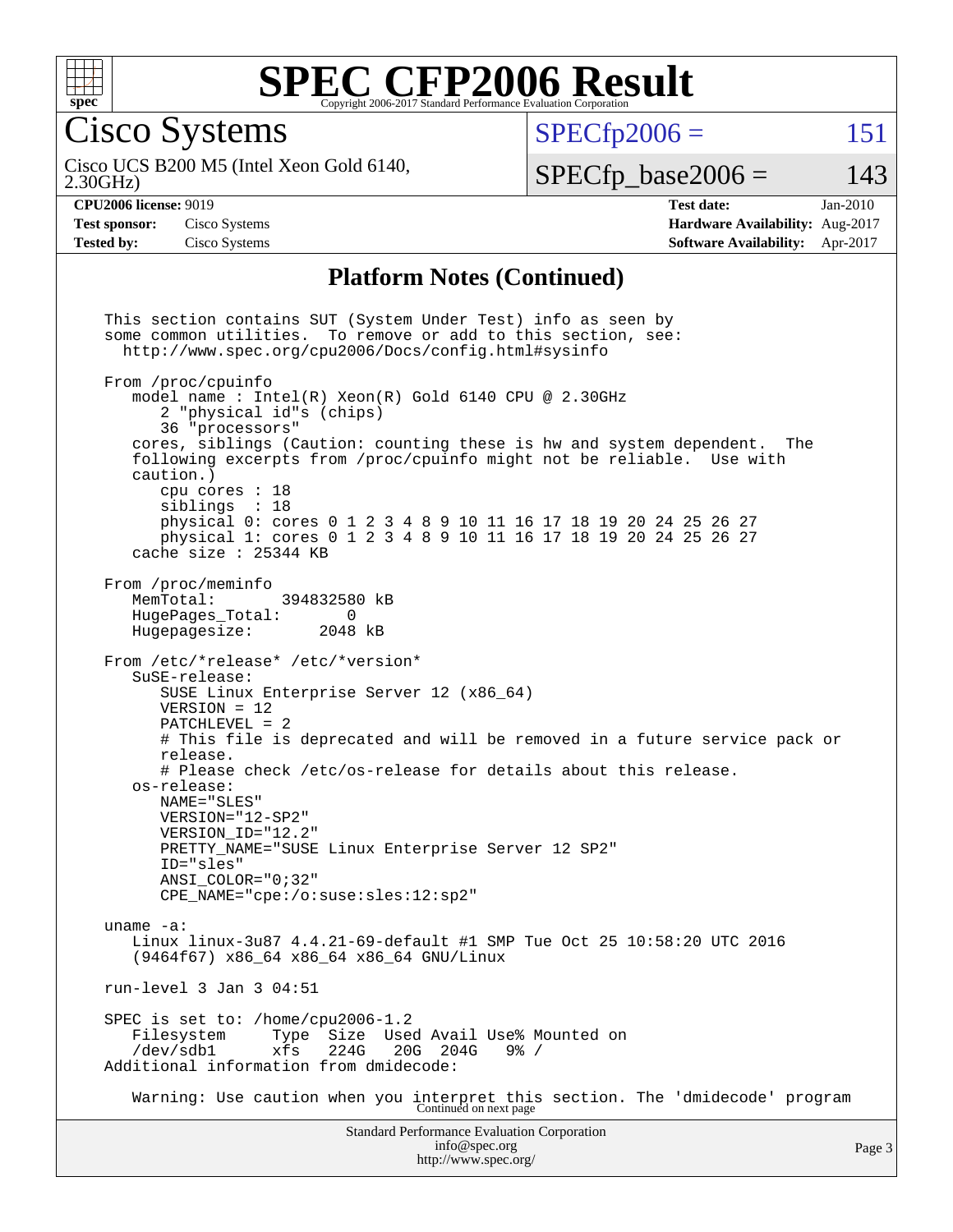

Cisco Systems

 $SPECTp2006 = 151$ 

2.30GHz) Cisco UCS B200 M5 (Intel Xeon Gold 6140,

 $SPECfp\_base2006 = 143$ 

**[Test sponsor:](http://www.spec.org/auto/cpu2006/Docs/result-fields.html#Testsponsor)** Cisco Systems **[Hardware Availability:](http://www.spec.org/auto/cpu2006/Docs/result-fields.html#HardwareAvailability)** Aug-2017 **[Tested by:](http://www.spec.org/auto/cpu2006/Docs/result-fields.html#Testedby)** Cisco Systems **[Software Availability:](http://www.spec.org/auto/cpu2006/Docs/result-fields.html#SoftwareAvailability)** Apr-2017

**[CPU2006 license:](http://www.spec.org/auto/cpu2006/Docs/result-fields.html#CPU2006license)** 9019 **[Test date:](http://www.spec.org/auto/cpu2006/Docs/result-fields.html#Testdate)** Jan-2010

### **[Platform Notes \(Continued\)](http://www.spec.org/auto/cpu2006/Docs/result-fields.html#PlatformNotes)**

Standard Performance Evaluation Corporation [info@spec.org](mailto:info@spec.org) This section contains SUT (System Under Test) info as seen by some common utilities. To remove or add to this section, see: <http://www.spec.org/cpu2006/Docs/config.html#sysinfo> From /proc/cpuinfo model name : Intel(R) Xeon(R) Gold 6140 CPU @ 2.30GHz 2 "physical id"s (chips) 36 "processors" cores, siblings (Caution: counting these is hw and system dependent. The following excerpts from /proc/cpuinfo might not be reliable. Use with caution.) cpu cores : 18 siblings : 18 physical 0: cores 0 1 2 3 4 8 9 10 11 16 17 18 19 20 24 25 26 27 physical 1: cores 0 1 2 3 4 8 9 10 11 16 17 18 19 20 24 25 26 27 cache size : 25344 KB From /proc/meminfo<br>MemTotal: 394832580 kB HugePages\_Total: 0 Hugepagesize: 2048 kB From /etc/\*release\* /etc/\*version\* SuSE-release: SUSE Linux Enterprise Server 12 (x86\_64) VERSION = 12 PATCHLEVEL = 2 # This file is deprecated and will be removed in a future service pack or release. # Please check /etc/os-release for details about this release. os-release: NAME="SLES" VERSION="12-SP2" VERSION\_ID="12.2" PRETTY\_NAME="SUSE Linux Enterprise Server 12 SP2" ID="sles" ANSI\_COLOR="0;32" CPE\_NAME="cpe:/o:suse:sles:12:sp2" uname -a: Linux linux-3u87 4.4.21-69-default #1 SMP Tue Oct 25 10:58:20 UTC 2016 (9464f67) x86\_64 x86\_64 x86\_64 GNU/Linux run-level 3 Jan 3 04:51 SPEC is set to: /home/cpu2006-1.2 Filesystem Type Size Used Avail Use% Mounted on<br>/dev/sdb1 xfs 224G 20G 204G 9% / xfs 224G 20G 204G 9% / Additional information from dmidecode: Warning: Use caution when you interpret this section. The 'dmidecode' program Continued on next page

<http://www.spec.org/>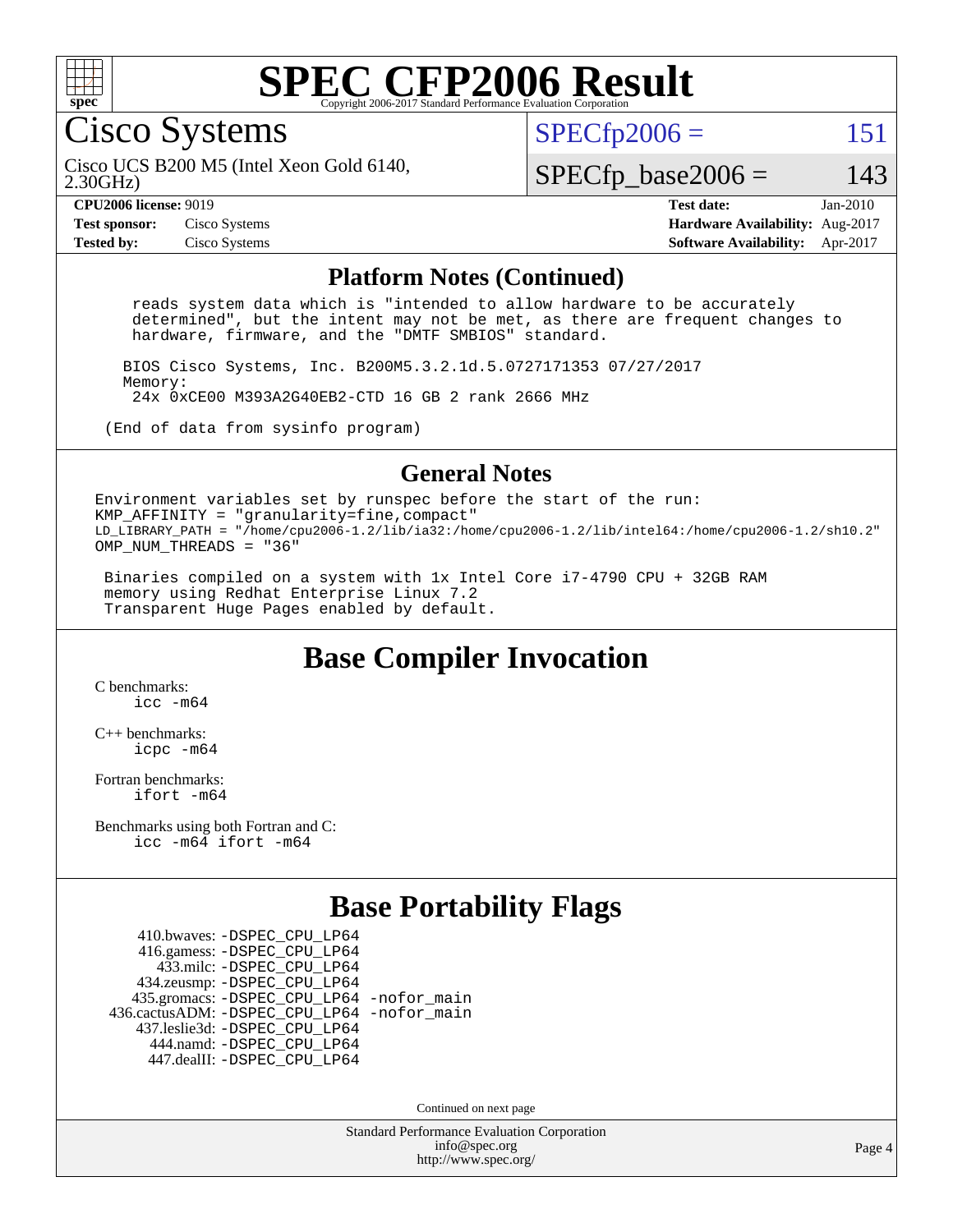

Cisco Systems

 $SPECTp2006 = 151$ 

2.30GHz) Cisco UCS B200 M5 (Intel Xeon Gold 6140,

 $SPECfp\_base2006 = 143$ 

**[Test sponsor:](http://www.spec.org/auto/cpu2006/Docs/result-fields.html#Testsponsor)** Cisco Systems **[Hardware Availability:](http://www.spec.org/auto/cpu2006/Docs/result-fields.html#HardwareAvailability)** Aug-2017

**[CPU2006 license:](http://www.spec.org/auto/cpu2006/Docs/result-fields.html#CPU2006license)** 9019 **[Test date:](http://www.spec.org/auto/cpu2006/Docs/result-fields.html#Testdate)** Jan-2010 **[Tested by:](http://www.spec.org/auto/cpu2006/Docs/result-fields.html#Testedby)** Cisco Systems **[Software Availability:](http://www.spec.org/auto/cpu2006/Docs/result-fields.html#SoftwareAvailability)** Apr-2017

#### **[Platform Notes \(Continued\)](http://www.spec.org/auto/cpu2006/Docs/result-fields.html#PlatformNotes)**

 reads system data which is "intended to allow hardware to be accurately determined", but the intent may not be met, as there are frequent changes to hardware, firmware, and the "DMTF SMBIOS" standard.

 BIOS Cisco Systems, Inc. B200M5.3.2.1d.5.0727171353 07/27/2017 Memory: 24x 0xCE00 M393A2G40EB2-CTD 16 GB 2 rank 2666 MHz

(End of data from sysinfo program)

#### **[General Notes](http://www.spec.org/auto/cpu2006/Docs/result-fields.html#GeneralNotes)**

Environment variables set by runspec before the start of the run: KMP AFFINITY = "granularity=fine, compact" LD\_LIBRARY\_PATH = "/home/cpu2006-1.2/lib/ia32:/home/cpu2006-1.2/lib/intel64:/home/cpu2006-1.2/sh10.2" OMP NUM THREADS = "36"

 Binaries compiled on a system with 1x Intel Core i7-4790 CPU + 32GB RAM memory using Redhat Enterprise Linux 7.2 Transparent Huge Pages enabled by default.

## **[Base Compiler Invocation](http://www.spec.org/auto/cpu2006/Docs/result-fields.html#BaseCompilerInvocation)**

[C benchmarks](http://www.spec.org/auto/cpu2006/Docs/result-fields.html#Cbenchmarks): [icc -m64](http://www.spec.org/cpu2006/results/res2017q4/cpu2006-20170919-50225.flags.html#user_CCbase_intel_icc_64bit_bda6cc9af1fdbb0edc3795bac97ada53)

[C++ benchmarks:](http://www.spec.org/auto/cpu2006/Docs/result-fields.html#CXXbenchmarks) [icpc -m64](http://www.spec.org/cpu2006/results/res2017q4/cpu2006-20170919-50225.flags.html#user_CXXbase_intel_icpc_64bit_fc66a5337ce925472a5c54ad6a0de310)

[Fortran benchmarks](http://www.spec.org/auto/cpu2006/Docs/result-fields.html#Fortranbenchmarks): [ifort -m64](http://www.spec.org/cpu2006/results/res2017q4/cpu2006-20170919-50225.flags.html#user_FCbase_intel_ifort_64bit_ee9d0fb25645d0210d97eb0527dcc06e)

[Benchmarks using both Fortran and C](http://www.spec.org/auto/cpu2006/Docs/result-fields.html#BenchmarksusingbothFortranandC): [icc -m64](http://www.spec.org/cpu2006/results/res2017q4/cpu2006-20170919-50225.flags.html#user_CC_FCbase_intel_icc_64bit_bda6cc9af1fdbb0edc3795bac97ada53) [ifort -m64](http://www.spec.org/cpu2006/results/res2017q4/cpu2006-20170919-50225.flags.html#user_CC_FCbase_intel_ifort_64bit_ee9d0fb25645d0210d97eb0527dcc06e)

# **[Base Portability Flags](http://www.spec.org/auto/cpu2006/Docs/result-fields.html#BasePortabilityFlags)**

 410.bwaves: [-DSPEC\\_CPU\\_LP64](http://www.spec.org/cpu2006/results/res2017q4/cpu2006-20170919-50225.flags.html#suite_basePORTABILITY410_bwaves_DSPEC_CPU_LP64) 416.gamess: [-DSPEC\\_CPU\\_LP64](http://www.spec.org/cpu2006/results/res2017q4/cpu2006-20170919-50225.flags.html#suite_basePORTABILITY416_gamess_DSPEC_CPU_LP64) 433.milc: [-DSPEC\\_CPU\\_LP64](http://www.spec.org/cpu2006/results/res2017q4/cpu2006-20170919-50225.flags.html#suite_basePORTABILITY433_milc_DSPEC_CPU_LP64) 434.zeusmp: [-DSPEC\\_CPU\\_LP64](http://www.spec.org/cpu2006/results/res2017q4/cpu2006-20170919-50225.flags.html#suite_basePORTABILITY434_zeusmp_DSPEC_CPU_LP64) 435.gromacs: [-DSPEC\\_CPU\\_LP64](http://www.spec.org/cpu2006/results/res2017q4/cpu2006-20170919-50225.flags.html#suite_basePORTABILITY435_gromacs_DSPEC_CPU_LP64) [-nofor\\_main](http://www.spec.org/cpu2006/results/res2017q4/cpu2006-20170919-50225.flags.html#user_baseLDPORTABILITY435_gromacs_f-nofor_main) 436.cactusADM: [-DSPEC\\_CPU\\_LP64](http://www.spec.org/cpu2006/results/res2017q4/cpu2006-20170919-50225.flags.html#suite_basePORTABILITY436_cactusADM_DSPEC_CPU_LP64) [-nofor\\_main](http://www.spec.org/cpu2006/results/res2017q4/cpu2006-20170919-50225.flags.html#user_baseLDPORTABILITY436_cactusADM_f-nofor_main) 437.leslie3d: [-DSPEC\\_CPU\\_LP64](http://www.spec.org/cpu2006/results/res2017q4/cpu2006-20170919-50225.flags.html#suite_basePORTABILITY437_leslie3d_DSPEC_CPU_LP64) 444.namd: [-DSPEC\\_CPU\\_LP64](http://www.spec.org/cpu2006/results/res2017q4/cpu2006-20170919-50225.flags.html#suite_basePORTABILITY444_namd_DSPEC_CPU_LP64) 447.dealII: [-DSPEC\\_CPU\\_LP64](http://www.spec.org/cpu2006/results/res2017q4/cpu2006-20170919-50225.flags.html#suite_basePORTABILITY447_dealII_DSPEC_CPU_LP64)

Continued on next page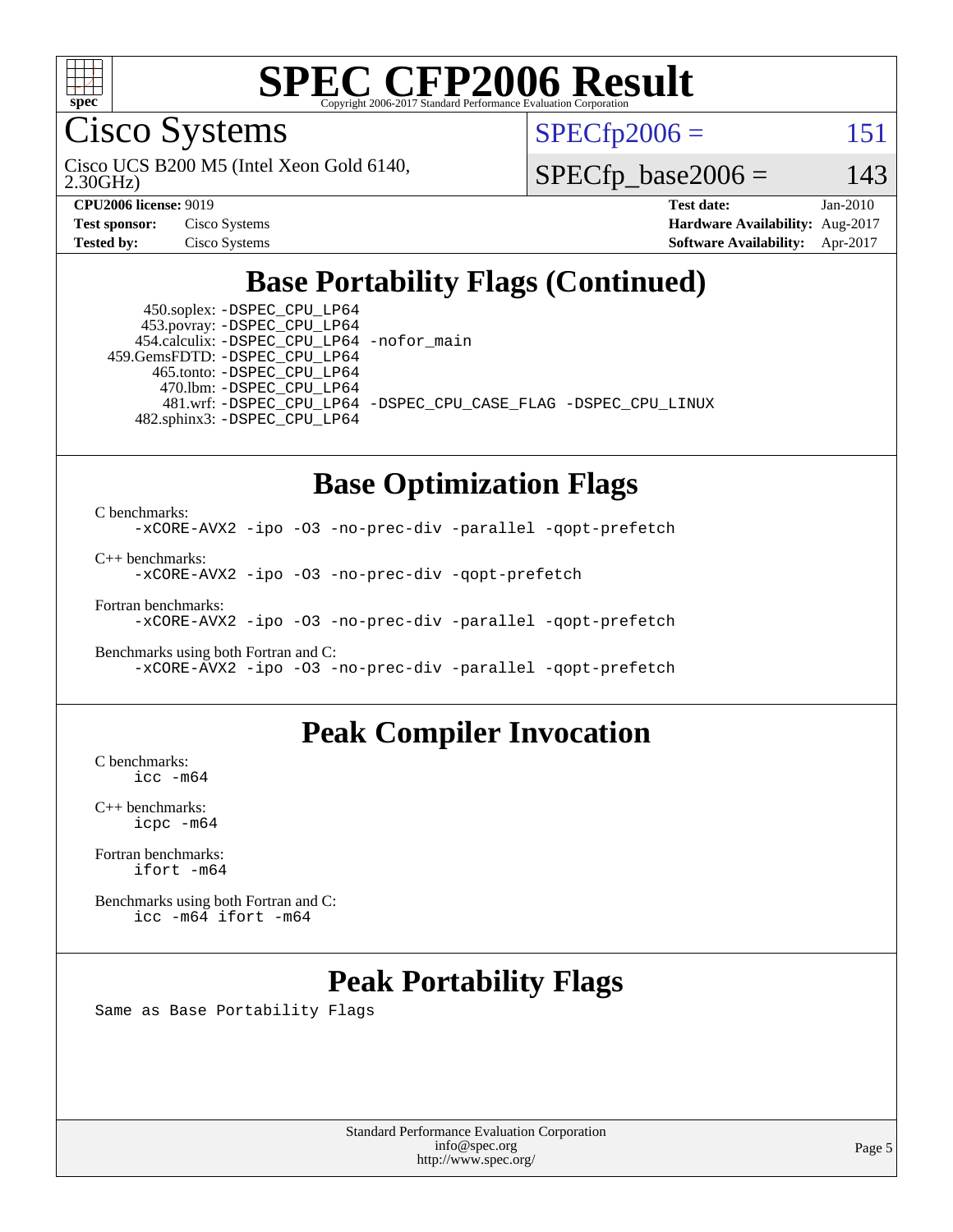

Cisco Systems

 $SPECTp2006 = 151$ 

2.30GHz) Cisco UCS B200 M5 (Intel Xeon Gold 6140,

 $SPECfp\_base2006 = 143$ 

**[CPU2006 license:](http://www.spec.org/auto/cpu2006/Docs/result-fields.html#CPU2006license)** 9019 **[Test date:](http://www.spec.org/auto/cpu2006/Docs/result-fields.html#Testdate)** Jan-2010

| <b>Test sponsor:</b> | Cisco Systems |
|----------------------|---------------|
| Tested bv:           | Cisco Systems |

**[Hardware Availability:](http://www.spec.org/auto/cpu2006/Docs/result-fields.html#HardwareAvailability)** Aug-2017 **[Software Availability:](http://www.spec.org/auto/cpu2006/Docs/result-fields.html#SoftwareAvailability)** Apr-2017

# **[Base Portability Flags \(Continued\)](http://www.spec.org/auto/cpu2006/Docs/result-fields.html#BasePortabilityFlags)**

 450.soplex: [-DSPEC\\_CPU\\_LP64](http://www.spec.org/cpu2006/results/res2017q4/cpu2006-20170919-50225.flags.html#suite_basePORTABILITY450_soplex_DSPEC_CPU_LP64) 453.povray: [-DSPEC\\_CPU\\_LP64](http://www.spec.org/cpu2006/results/res2017q4/cpu2006-20170919-50225.flags.html#suite_basePORTABILITY453_povray_DSPEC_CPU_LP64) 454.calculix: [-DSPEC\\_CPU\\_LP64](http://www.spec.org/cpu2006/results/res2017q4/cpu2006-20170919-50225.flags.html#suite_basePORTABILITY454_calculix_DSPEC_CPU_LP64) [-nofor\\_main](http://www.spec.org/cpu2006/results/res2017q4/cpu2006-20170919-50225.flags.html#user_baseLDPORTABILITY454_calculix_f-nofor_main) 459.GemsFDTD: [-DSPEC\\_CPU\\_LP64](http://www.spec.org/cpu2006/results/res2017q4/cpu2006-20170919-50225.flags.html#suite_basePORTABILITY459_GemsFDTD_DSPEC_CPU_LP64) 465.tonto: [-DSPEC\\_CPU\\_LP64](http://www.spec.org/cpu2006/results/res2017q4/cpu2006-20170919-50225.flags.html#suite_basePORTABILITY465_tonto_DSPEC_CPU_LP64) 470.lbm: [-DSPEC\\_CPU\\_LP64](http://www.spec.org/cpu2006/results/res2017q4/cpu2006-20170919-50225.flags.html#suite_basePORTABILITY470_lbm_DSPEC_CPU_LP64) 482.sphinx3: [-DSPEC\\_CPU\\_LP64](http://www.spec.org/cpu2006/results/res2017q4/cpu2006-20170919-50225.flags.html#suite_basePORTABILITY482_sphinx3_DSPEC_CPU_LP64)

481.wrf: [-DSPEC\\_CPU\\_LP64](http://www.spec.org/cpu2006/results/res2017q4/cpu2006-20170919-50225.flags.html#suite_basePORTABILITY481_wrf_DSPEC_CPU_LP64) [-DSPEC\\_CPU\\_CASE\\_FLAG](http://www.spec.org/cpu2006/results/res2017q4/cpu2006-20170919-50225.flags.html#b481.wrf_baseCPORTABILITY_DSPEC_CPU_CASE_FLAG) [-DSPEC\\_CPU\\_LINUX](http://www.spec.org/cpu2006/results/res2017q4/cpu2006-20170919-50225.flags.html#b481.wrf_baseCPORTABILITY_DSPEC_CPU_LINUX)

### **[Base Optimization Flags](http://www.spec.org/auto/cpu2006/Docs/result-fields.html#BaseOptimizationFlags)**

[C benchmarks](http://www.spec.org/auto/cpu2006/Docs/result-fields.html#Cbenchmarks): [-xCORE-AVX2](http://www.spec.org/cpu2006/results/res2017q4/cpu2006-20170919-50225.flags.html#user_CCbase_f-xCORE-AVX2) [-ipo](http://www.spec.org/cpu2006/results/res2017q4/cpu2006-20170919-50225.flags.html#user_CCbase_f-ipo) [-O3](http://www.spec.org/cpu2006/results/res2017q4/cpu2006-20170919-50225.flags.html#user_CCbase_f-O3) [-no-prec-div](http://www.spec.org/cpu2006/results/res2017q4/cpu2006-20170919-50225.flags.html#user_CCbase_f-no-prec-div) [-parallel](http://www.spec.org/cpu2006/results/res2017q4/cpu2006-20170919-50225.flags.html#user_CCbase_f-parallel) [-qopt-prefetch](http://www.spec.org/cpu2006/results/res2017q4/cpu2006-20170919-50225.flags.html#user_CCbase_f-qopt-prefetch)

[C++ benchmarks:](http://www.spec.org/auto/cpu2006/Docs/result-fields.html#CXXbenchmarks)

[-xCORE-AVX2](http://www.spec.org/cpu2006/results/res2017q4/cpu2006-20170919-50225.flags.html#user_CXXbase_f-xCORE-AVX2) [-ipo](http://www.spec.org/cpu2006/results/res2017q4/cpu2006-20170919-50225.flags.html#user_CXXbase_f-ipo) [-O3](http://www.spec.org/cpu2006/results/res2017q4/cpu2006-20170919-50225.flags.html#user_CXXbase_f-O3) [-no-prec-div](http://www.spec.org/cpu2006/results/res2017q4/cpu2006-20170919-50225.flags.html#user_CXXbase_f-no-prec-div) [-qopt-prefetch](http://www.spec.org/cpu2006/results/res2017q4/cpu2006-20170919-50225.flags.html#user_CXXbase_f-qopt-prefetch)

[Fortran benchmarks](http://www.spec.org/auto/cpu2006/Docs/result-fields.html#Fortranbenchmarks):

[-xCORE-AVX2](http://www.spec.org/cpu2006/results/res2017q4/cpu2006-20170919-50225.flags.html#user_FCbase_f-xCORE-AVX2) [-ipo](http://www.spec.org/cpu2006/results/res2017q4/cpu2006-20170919-50225.flags.html#user_FCbase_f-ipo) [-O3](http://www.spec.org/cpu2006/results/res2017q4/cpu2006-20170919-50225.flags.html#user_FCbase_f-O3) [-no-prec-div](http://www.spec.org/cpu2006/results/res2017q4/cpu2006-20170919-50225.flags.html#user_FCbase_f-no-prec-div) [-parallel](http://www.spec.org/cpu2006/results/res2017q4/cpu2006-20170919-50225.flags.html#user_FCbase_f-parallel) [-qopt-prefetch](http://www.spec.org/cpu2006/results/res2017q4/cpu2006-20170919-50225.flags.html#user_FCbase_f-qopt-prefetch)

[Benchmarks using both Fortran and C](http://www.spec.org/auto/cpu2006/Docs/result-fields.html#BenchmarksusingbothFortranandC): [-xCORE-AVX2](http://www.spec.org/cpu2006/results/res2017q4/cpu2006-20170919-50225.flags.html#user_CC_FCbase_f-xCORE-AVX2) [-ipo](http://www.spec.org/cpu2006/results/res2017q4/cpu2006-20170919-50225.flags.html#user_CC_FCbase_f-ipo) [-O3](http://www.spec.org/cpu2006/results/res2017q4/cpu2006-20170919-50225.flags.html#user_CC_FCbase_f-O3) [-no-prec-div](http://www.spec.org/cpu2006/results/res2017q4/cpu2006-20170919-50225.flags.html#user_CC_FCbase_f-no-prec-div) [-parallel](http://www.spec.org/cpu2006/results/res2017q4/cpu2006-20170919-50225.flags.html#user_CC_FCbase_f-parallel) [-qopt-prefetch](http://www.spec.org/cpu2006/results/res2017q4/cpu2006-20170919-50225.flags.html#user_CC_FCbase_f-qopt-prefetch)

## **[Peak Compiler Invocation](http://www.spec.org/auto/cpu2006/Docs/result-fields.html#PeakCompilerInvocation)**

[C benchmarks](http://www.spec.org/auto/cpu2006/Docs/result-fields.html#Cbenchmarks): [icc -m64](http://www.spec.org/cpu2006/results/res2017q4/cpu2006-20170919-50225.flags.html#user_CCpeak_intel_icc_64bit_bda6cc9af1fdbb0edc3795bac97ada53)

[C++ benchmarks:](http://www.spec.org/auto/cpu2006/Docs/result-fields.html#CXXbenchmarks) [icpc -m64](http://www.spec.org/cpu2006/results/res2017q4/cpu2006-20170919-50225.flags.html#user_CXXpeak_intel_icpc_64bit_fc66a5337ce925472a5c54ad6a0de310)

[Fortran benchmarks](http://www.spec.org/auto/cpu2006/Docs/result-fields.html#Fortranbenchmarks): [ifort -m64](http://www.spec.org/cpu2006/results/res2017q4/cpu2006-20170919-50225.flags.html#user_FCpeak_intel_ifort_64bit_ee9d0fb25645d0210d97eb0527dcc06e)

[Benchmarks using both Fortran and C](http://www.spec.org/auto/cpu2006/Docs/result-fields.html#BenchmarksusingbothFortranandC): [icc -m64](http://www.spec.org/cpu2006/results/res2017q4/cpu2006-20170919-50225.flags.html#user_CC_FCpeak_intel_icc_64bit_bda6cc9af1fdbb0edc3795bac97ada53) [ifort -m64](http://www.spec.org/cpu2006/results/res2017q4/cpu2006-20170919-50225.flags.html#user_CC_FCpeak_intel_ifort_64bit_ee9d0fb25645d0210d97eb0527dcc06e)

# **[Peak Portability Flags](http://www.spec.org/auto/cpu2006/Docs/result-fields.html#PeakPortabilityFlags)**

Same as Base Portability Flags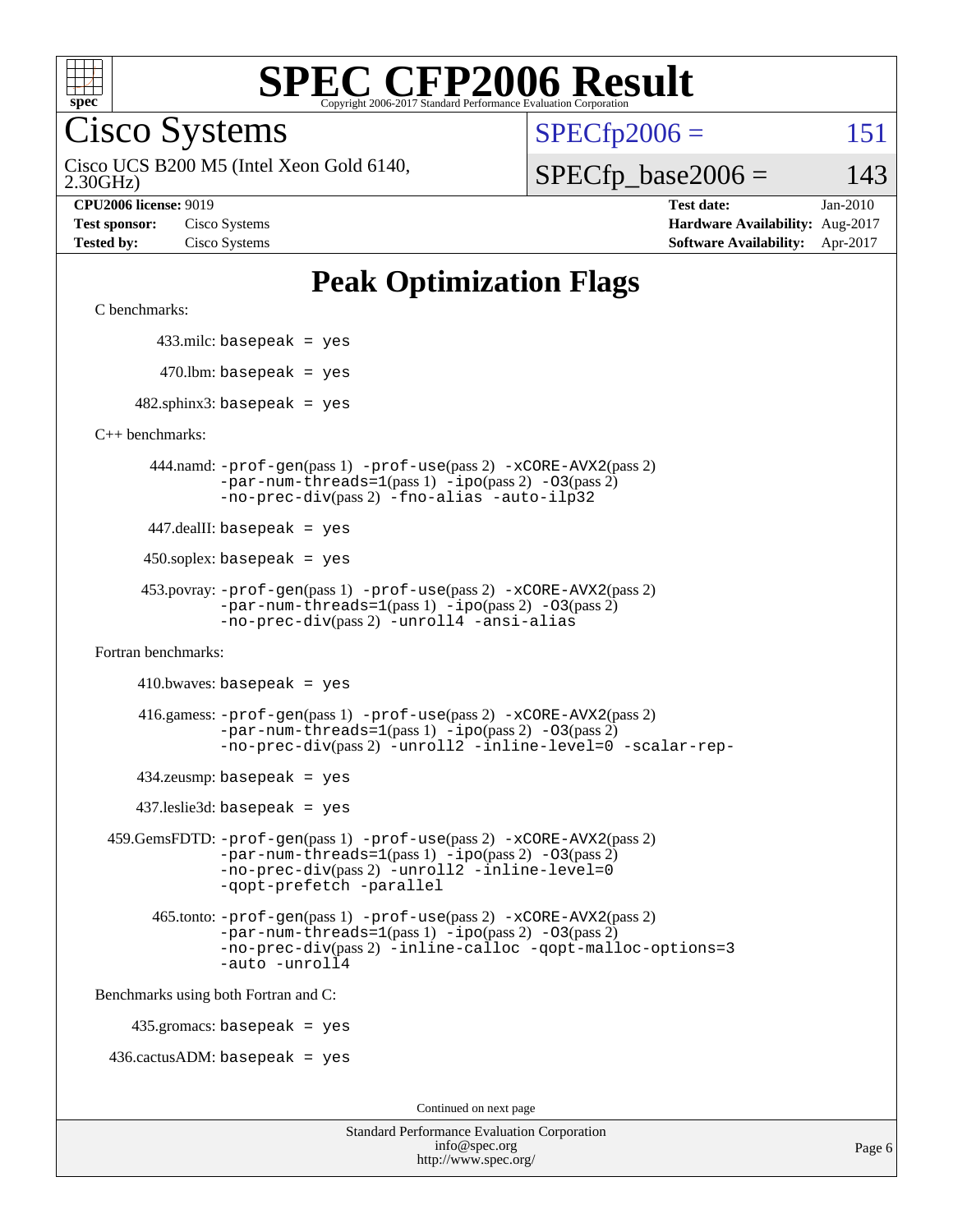

Cisco Systems

 $SPECTp2006 = 151$ 

2.30GHz) Cisco UCS B200 M5 (Intel Xeon Gold 6140,

 $SPECfp\_base2006 = 143$ 

**[CPU2006 license:](http://www.spec.org/auto/cpu2006/Docs/result-fields.html#CPU2006license)** 9019 **[Test date:](http://www.spec.org/auto/cpu2006/Docs/result-fields.html#Testdate)** Jan-2010 **[Test sponsor:](http://www.spec.org/auto/cpu2006/Docs/result-fields.html#Testsponsor)** Cisco Systems **[Hardware Availability:](http://www.spec.org/auto/cpu2006/Docs/result-fields.html#HardwareAvailability)** Aug-2017 **[Tested by:](http://www.spec.org/auto/cpu2006/Docs/result-fields.html#Testedby)** Cisco Systems **[Software Availability:](http://www.spec.org/auto/cpu2006/Docs/result-fields.html#SoftwareAvailability)** Apr-2017

# **[Peak Optimization Flags](http://www.spec.org/auto/cpu2006/Docs/result-fields.html#PeakOptimizationFlags)**

[C benchmarks](http://www.spec.org/auto/cpu2006/Docs/result-fields.html#Cbenchmarks):

433.milc: basepeak = yes

 $470.$ lbm: basepeak = yes

 $482$ .sphinx3: basepeak = yes

[C++ benchmarks:](http://www.spec.org/auto/cpu2006/Docs/result-fields.html#CXXbenchmarks)

 444.namd: [-prof-gen](http://www.spec.org/cpu2006/results/res2017q4/cpu2006-20170919-50225.flags.html#user_peakPASS1_CXXFLAGSPASS1_LDFLAGS444_namd_prof_gen_e43856698f6ca7b7e442dfd80e94a8fc)(pass 1) [-prof-use](http://www.spec.org/cpu2006/results/res2017q4/cpu2006-20170919-50225.flags.html#user_peakPASS2_CXXFLAGSPASS2_LDFLAGS444_namd_prof_use_bccf7792157ff70d64e32fe3e1250b55)(pass 2) [-xCORE-AVX2](http://www.spec.org/cpu2006/results/res2017q4/cpu2006-20170919-50225.flags.html#user_peakPASS2_CXXFLAGSPASS2_LDFLAGS444_namd_f-xCORE-AVX2)(pass 2)  $-par-num-threads=1(pass 1) -ipo(pass 2) -O3(pass 2)$  $-par-num-threads=1(pass 1) -ipo(pass 2) -O3(pass 2)$  $-par-num-threads=1(pass 1) -ipo(pass 2) -O3(pass 2)$  $-par-num-threads=1(pass 1) -ipo(pass 2) -O3(pass 2)$  $-par-num-threads=1(pass 1) -ipo(pass 2) -O3(pass 2)$  $-par-num-threads=1(pass 1) -ipo(pass 2) -O3(pass 2)$ [-no-prec-div](http://www.spec.org/cpu2006/results/res2017q4/cpu2006-20170919-50225.flags.html#user_peakPASS2_CXXFLAGSPASS2_LDFLAGS444_namd_f-no-prec-div)(pass 2) [-fno-alias](http://www.spec.org/cpu2006/results/res2017q4/cpu2006-20170919-50225.flags.html#user_peakCXXOPTIMIZEOPTIMIZE444_namd_f-no-alias_694e77f6c5a51e658e82ccff53a9e63a) [-auto-ilp32](http://www.spec.org/cpu2006/results/res2017q4/cpu2006-20170919-50225.flags.html#user_peakCXXOPTIMIZE444_namd_f-auto-ilp32)

447.dealII: basepeak = yes

 $450$ .soplex: basepeak = yes

 453.povray: [-prof-gen](http://www.spec.org/cpu2006/results/res2017q4/cpu2006-20170919-50225.flags.html#user_peakPASS1_CXXFLAGSPASS1_LDFLAGS453_povray_prof_gen_e43856698f6ca7b7e442dfd80e94a8fc)(pass 1) [-prof-use](http://www.spec.org/cpu2006/results/res2017q4/cpu2006-20170919-50225.flags.html#user_peakPASS2_CXXFLAGSPASS2_LDFLAGS453_povray_prof_use_bccf7792157ff70d64e32fe3e1250b55)(pass 2) [-xCORE-AVX2](http://www.spec.org/cpu2006/results/res2017q4/cpu2006-20170919-50225.flags.html#user_peakPASS2_CXXFLAGSPASS2_LDFLAGS453_povray_f-xCORE-AVX2)(pass 2)  $-par-num-threads=1(pass 1) -ipo(pass 2) -O3(pass 2)$  $-par-num-threads=1(pass 1) -ipo(pass 2) -O3(pass 2)$  $-par-num-threads=1(pass 1) -ipo(pass 2) -O3(pass 2)$  $-par-num-threads=1(pass 1) -ipo(pass 2) -O3(pass 2)$  $-par-num-threads=1(pass 1) -ipo(pass 2) -O3(pass 2)$  $-par-num-threads=1(pass 1) -ipo(pass 2) -O3(pass 2)$ [-no-prec-div](http://www.spec.org/cpu2006/results/res2017q4/cpu2006-20170919-50225.flags.html#user_peakPASS2_CXXFLAGSPASS2_LDFLAGS453_povray_f-no-prec-div)(pass 2) [-unroll4](http://www.spec.org/cpu2006/results/res2017q4/cpu2006-20170919-50225.flags.html#user_peakCXXOPTIMIZE453_povray_f-unroll_4e5e4ed65b7fd20bdcd365bec371b81f) [-ansi-alias](http://www.spec.org/cpu2006/results/res2017q4/cpu2006-20170919-50225.flags.html#user_peakCXXOPTIMIZE453_povray_f-ansi-alias)

[Fortran benchmarks](http://www.spec.org/auto/cpu2006/Docs/result-fields.html#Fortranbenchmarks):

 $410.bwaves: basepeak = yes$ 

 416.gamess: [-prof-gen](http://www.spec.org/cpu2006/results/res2017q4/cpu2006-20170919-50225.flags.html#user_peakPASS1_FFLAGSPASS1_LDFLAGS416_gamess_prof_gen_e43856698f6ca7b7e442dfd80e94a8fc)(pass 1) [-prof-use](http://www.spec.org/cpu2006/results/res2017q4/cpu2006-20170919-50225.flags.html#user_peakPASS2_FFLAGSPASS2_LDFLAGS416_gamess_prof_use_bccf7792157ff70d64e32fe3e1250b55)(pass 2) [-xCORE-AVX2](http://www.spec.org/cpu2006/results/res2017q4/cpu2006-20170919-50225.flags.html#user_peakPASS2_FFLAGSPASS2_LDFLAGS416_gamess_f-xCORE-AVX2)(pass 2)  $-par-num-threads=1(pass 1) -ipo(pass 2) -O3(pass 2)$  $-par-num-threads=1(pass 1) -ipo(pass 2) -O3(pass 2)$  $-par-num-threads=1(pass 1) -ipo(pass 2) -O3(pass 2)$  $-par-num-threads=1(pass 1) -ipo(pass 2) -O3(pass 2)$  $-par-num-threads=1(pass 1) -ipo(pass 2) -O3(pass 2)$  $-par-num-threads=1(pass 1) -ipo(pass 2) -O3(pass 2)$ [-no-prec-div](http://www.spec.org/cpu2006/results/res2017q4/cpu2006-20170919-50225.flags.html#user_peakPASS2_FFLAGSPASS2_LDFLAGS416_gamess_f-no-prec-div)(pass 2) [-unroll2](http://www.spec.org/cpu2006/results/res2017q4/cpu2006-20170919-50225.flags.html#user_peakOPTIMIZE416_gamess_f-unroll_784dae83bebfb236979b41d2422d7ec2) [-inline-level=0](http://www.spec.org/cpu2006/results/res2017q4/cpu2006-20170919-50225.flags.html#user_peakOPTIMIZE416_gamess_f-inline-level_318d07a09274ad25e8d15dbfaa68ba50) [-scalar-rep-](http://www.spec.org/cpu2006/results/res2017q4/cpu2006-20170919-50225.flags.html#user_peakOPTIMIZE416_gamess_f-disablescalarrep_abbcad04450fb118e4809c81d83c8a1d)

 $434$ .zeusmp: basepeak = yes

437.leslie3d: basepeak = yes

```
 459.GemsFDTD: -prof-gen(pass 1) -prof-use(pass 2) -xCORE-AVX2(pass 2)
 -par-num-threads=1(pass 1) -ipo(pass 2) -O3(pass 2)
 -no-prec-div(pass 2) -unroll2 -inline-level=0
 -qopt-prefetch -parallel
```
 465.tonto: [-prof-gen](http://www.spec.org/cpu2006/results/res2017q4/cpu2006-20170919-50225.flags.html#user_peakPASS1_FFLAGSPASS1_LDFLAGS465_tonto_prof_gen_e43856698f6ca7b7e442dfd80e94a8fc)(pass 1) [-prof-use](http://www.spec.org/cpu2006/results/res2017q4/cpu2006-20170919-50225.flags.html#user_peakPASS2_FFLAGSPASS2_LDFLAGS465_tonto_prof_use_bccf7792157ff70d64e32fe3e1250b55)(pass 2) [-xCORE-AVX2](http://www.spec.org/cpu2006/results/res2017q4/cpu2006-20170919-50225.flags.html#user_peakPASS2_FFLAGSPASS2_LDFLAGS465_tonto_f-xCORE-AVX2)(pass 2)  $-par-num-threads=1(pass 1) -ipo(pass 2) -O3(pass 2)$  $-par-num-threads=1(pass 1) -ipo(pass 2) -O3(pass 2)$  $-par-num-threads=1(pass 1) -ipo(pass 2) -O3(pass 2)$  $-par-num-threads=1(pass 1) -ipo(pass 2) -O3(pass 2)$  $-par-num-threads=1(pass 1) -ipo(pass 2) -O3(pass 2)$  $-par-num-threads=1(pass 1) -ipo(pass 2) -O3(pass 2)$ [-no-prec-div](http://www.spec.org/cpu2006/results/res2017q4/cpu2006-20170919-50225.flags.html#user_peakPASS2_FFLAGSPASS2_LDFLAGS465_tonto_f-no-prec-div)(pass 2) [-inline-calloc](http://www.spec.org/cpu2006/results/res2017q4/cpu2006-20170919-50225.flags.html#user_peakOPTIMIZE465_tonto_f-inline-calloc) [-qopt-malloc-options=3](http://www.spec.org/cpu2006/results/res2017q4/cpu2006-20170919-50225.flags.html#user_peakOPTIMIZE465_tonto_f-qopt-malloc-options_0fcb435012e78f27d57f473818e45fe4) [-auto](http://www.spec.org/cpu2006/results/res2017q4/cpu2006-20170919-50225.flags.html#user_peakOPTIMIZE465_tonto_f-auto) [-unroll4](http://www.spec.org/cpu2006/results/res2017q4/cpu2006-20170919-50225.flags.html#user_peakOPTIMIZE465_tonto_f-unroll_4e5e4ed65b7fd20bdcd365bec371b81f)

[Benchmarks using both Fortran and C](http://www.spec.org/auto/cpu2006/Docs/result-fields.html#BenchmarksusingbothFortranandC):

435.gromacs: basepeak = yes

 $436.cactusADM:basepeak = yes$ 

Continued on next page

| <b>Standard Performance Evaluation Corporation</b> |
|----------------------------------------------------|
| info@spec.org                                      |
| http://www.spec.org/                               |